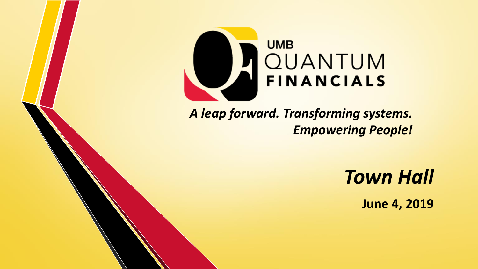

*A leap forward. Transforming systems. Empowering People!* 

*Town Hall*

**June 4, 2019**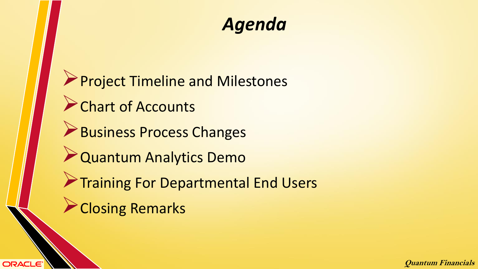### *Agenda*

**Project Timeline and Milestones Chart of Accounts Business Process Changes** Quantum Analytics Demo **Training For Departmental End Users Closing Remarks**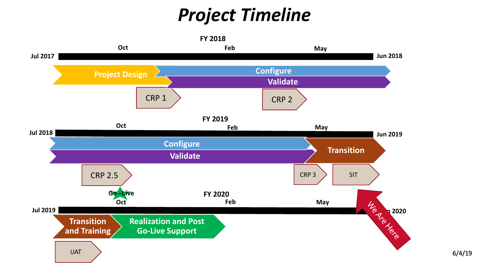## *Project Timeline*

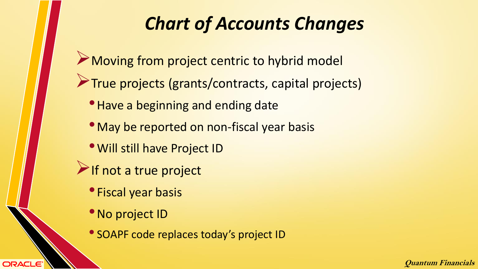### *Chart of Accounts Changes*

- Moving from project centric to hybrid model
- True projects (grants/contracts, capital projects)
	- Have a beginning and ending date
	- May be reported on non-fiscal year basis
	- •Will still have Project ID
- If not a true project
	- Fiscal year basis
	- No project ID

**ORACLE®** 

• SOAPF code replaces today's project ID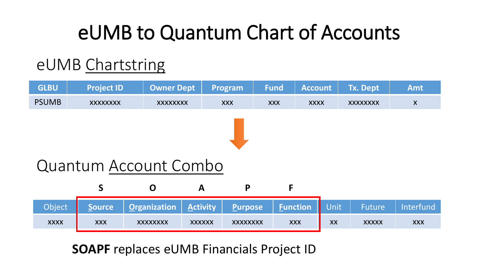# eUMB to Quantum Chart of Accounts

### eUMB Chartstring



#### **SOAPF** replaces eUMB Financials Project ID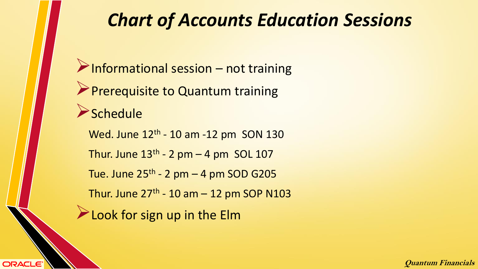### *Chart of Accounts Education Sessions*

 $\triangleright$  Informational session – not training **Prerequisite to Quantum training**  $S$ chedule Wed. June 12<sup>th</sup> - 10 am -12 pm SON 130 Thur. June  $13<sup>th</sup>$  - 2 pm  $-$  4 pm SOL 107 Tue. June 25<sup>th</sup> - 2 pm – 4 pm SOD G205 Thur. June 27<sup>th</sup> - 10 am – 12 pm SOP N103 **Look for sign up in the Elm**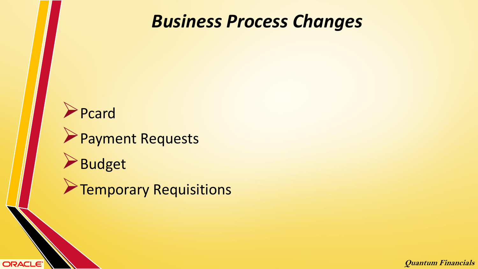

**ORACLE**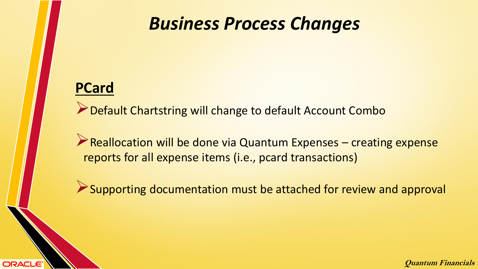#### **PCard**

**ORACLE** 

Default Chartstring will change to default Account Combo

Reallocation will be done via Quantum Expenses – creating expense reports for all expense items (i.e., pcard transactions)

Supporting documentation must be attached for review and approval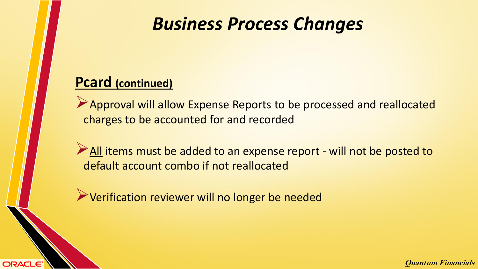#### **Pcard (continued)**

**ORACLE** 

Approval will allow Expense Reports to be processed and reallocated charges to be accounted for and recorded

All items must be added to an expense report - will not be posted to default account combo if not reallocated

Verification reviewer will no longer be needed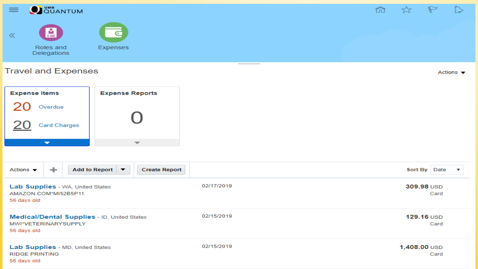

Actions  $\blacktriangledown$ 

#### **Travel and Expenses**

**Expense Items Expense Reports** Overdue **Card Charges**  $\overline{\phantom{a}}$ 

Add to Report ▼ Actions  $\blacktriangledown$ ÷ **Create Report** Sort By Date  $\overline{\mathbf{v}}$ 02/17/2019 Lab Supplies - WA, United States 309.98 USD AMAZON.COM\*MI52B5P11 Card 56 days old 02/15/2019 Medical/Dental Supplies - ID, United States 129.16 USD MWI\*VETERINARYSUPPLY Card 56 days old 02/15/2019 Lab Supplies - MD, United States 1,408.00 USD **RIDGE PRINTING** Card 56 days old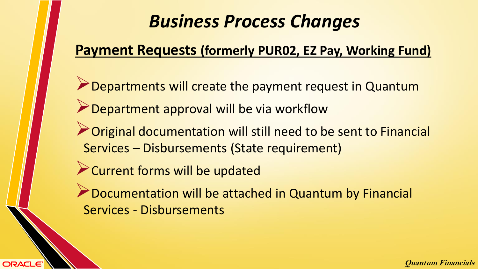### **Payment Requests (formerly PUR02, EZ Pay, Working Fund)**

- **Departments will create the payment request in Quantum Department approval will be via workflow**
- **Original documentation will still need to be sent to Financial** Services – Disbursements (State requirement)
- **Example 2 Current forms will be updated**

**ORACLE** 

**Documentation will be attached in Quantum by Financial** Services - Disbursements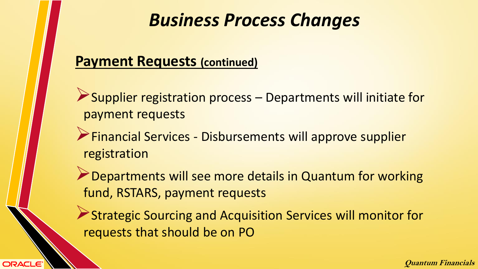#### **Payment Requests (continued)**

- Supplier registration process Departments will initiate for payment requests
- Financial Services Disbursements will approve supplier registration
- **Departments will see more details in Quantum for working** fund, RSTARS, payment requests
- Strategic Sourcing and Acquisition Services will monitor for requests that should be on PO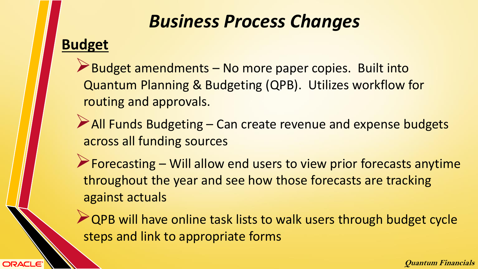**Budget** 

**ORACLE** 

Budget amendments – No more paper copies. Built into Quantum Planning & Budgeting (QPB). Utilizes workflow for routing and approvals.

- All Funds Budgeting Can create revenue and expense budgets across all funding sources
- $\triangleright$  Forecasting Will allow end users to view prior forecasts anytime throughout the year and see how those forecasts are tracking against actuals

**QPB will have online task lists to walk users through budget cycle** steps and link to appropriate forms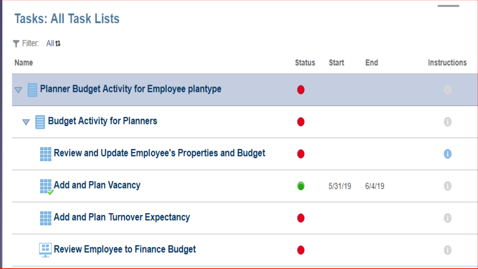#### **Tasks: All Task Lists**

 $\blacktriangledown$  Filter: All  $\mathfrak u$ 

| <b>Name</b>                                                        | <b>Status</b> | <b>Start</b> | End    | <b>Instructions</b>        |
|--------------------------------------------------------------------|---------------|--------------|--------|----------------------------|
| ■ Planner Budget Activity for Employee plantype<br>$\nabla$        |               |              |        |                            |
| <b>Budget Activity for Planners</b><br>$\equiv$<br>$\triangledown$ |               |              |        | $\left(\frac{1}{2}\right)$ |
| <b>EEE</b> Review and Update Employee's Properties and Budget      |               |              |        | 0                          |
| Add and Plan Vacancy                                               |               | 5/31/19      | 6/4/19 | 0                          |
| <b>EXPERIENCE And SHOW THE THE PROPERTY</b><br><b>Billian</b>      |               |              |        | $\left(\text{I}\right)$    |
| <b>EE</b> Review Employee to Finance Budget                        |               |              |        | $\left( 1 \right)$         |

**Contract Contract Contract**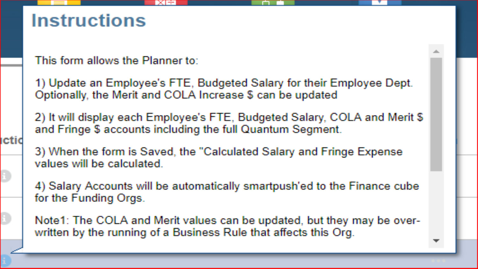### **Instructions**

ıctic

This form allows the Planner to:

1) Update an Employee's FTE, Budgeted Salary for their Employee Dept. Optionally, the Merit and COLA Increase \$ can be updated

2) It will display each Employee's FTE, Budgeted Salary, COLA and Merit \$ and Fringe \$ accounts including the full Quantum Segment.

3) When the form is Saved, the "Calculated Salary and Fringe Expense values will be calculated.

4) Salary Accounts will be automatically smartpush'ed to the Finance cube for the Funding Orgs.

Note1: The COLA and Merit values can be updated, but they may be overwritten by the running of a Business Rule that affects this Org.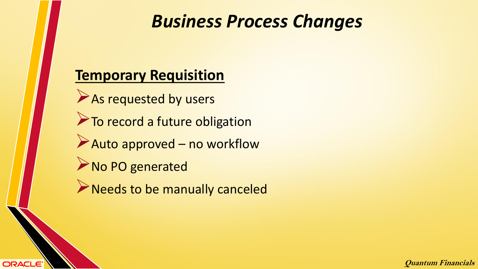#### **Temporary Requisition**

**ORACLE** 

As requested by users To record a future obligation Auto approved – no workflow ANo PO generated

**Needs to be manually canceled**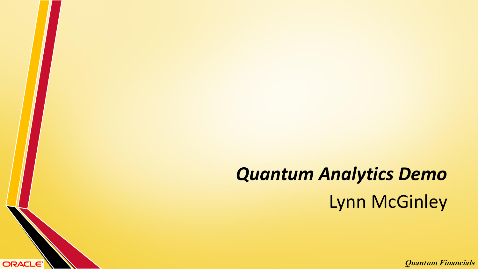# *Quantum Analytics Demo* Lynn McGinley

ORACLE<sup>®</sup>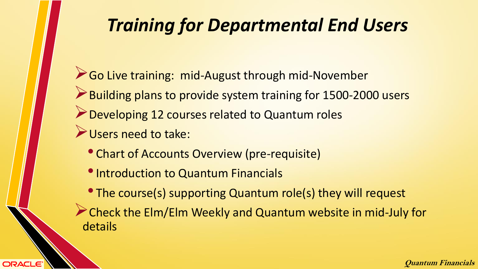### *Training for Departmental End Users*

- Go Live training: mid-August through mid-November Building plans to provide system training for 1500-2000 users **Developing 12 courses related to Quantum roles** Users need to take:
	- Chart of Accounts Overview (pre-requisite)
	- Introduction to Quantum Financials

- The course(s) supporting Quantum role(s) they will request
- Check the Elm/Elm Weekly and Quantum website in mid-July for details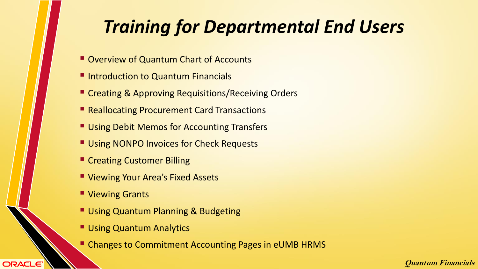## *Training for Departmental End Users*

- Overview of Quantum Chart of Accounts
- **Introduction to Quantum Financials**
- **EXPERIGE & Approving Requisitions/Receiving Orders**
- Reallocating Procurement Card Transactions
- **Using Debit Memos for Accounting Transfers**
- **Using NONPO Invoices for Check Requests**
- **Exercise Customer Billing**
- **U Viewing Your Area's Fixed Assets**
- Viewing Grants

**ORACLE®** 

- **Using Quantum Planning & Budgeting**
- **Using Quantum Analytics**
- **Example 2 Changes to Commitment Accounting Pages in eUMB HRMS**